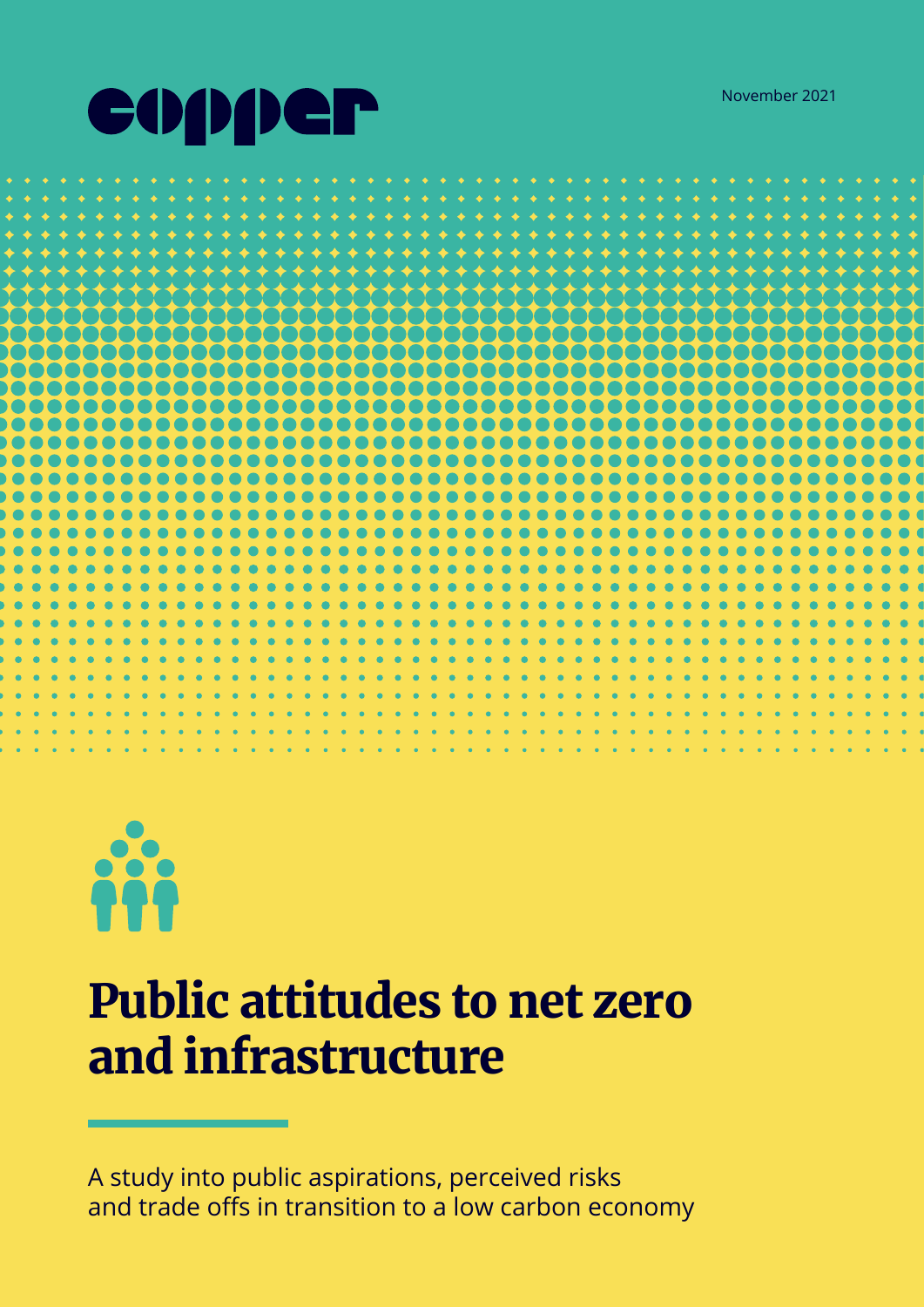





# Public attitudes to net zero and infrastructure

A study into public aspirations, perceived risks and trade offs in transition to a low carbon economy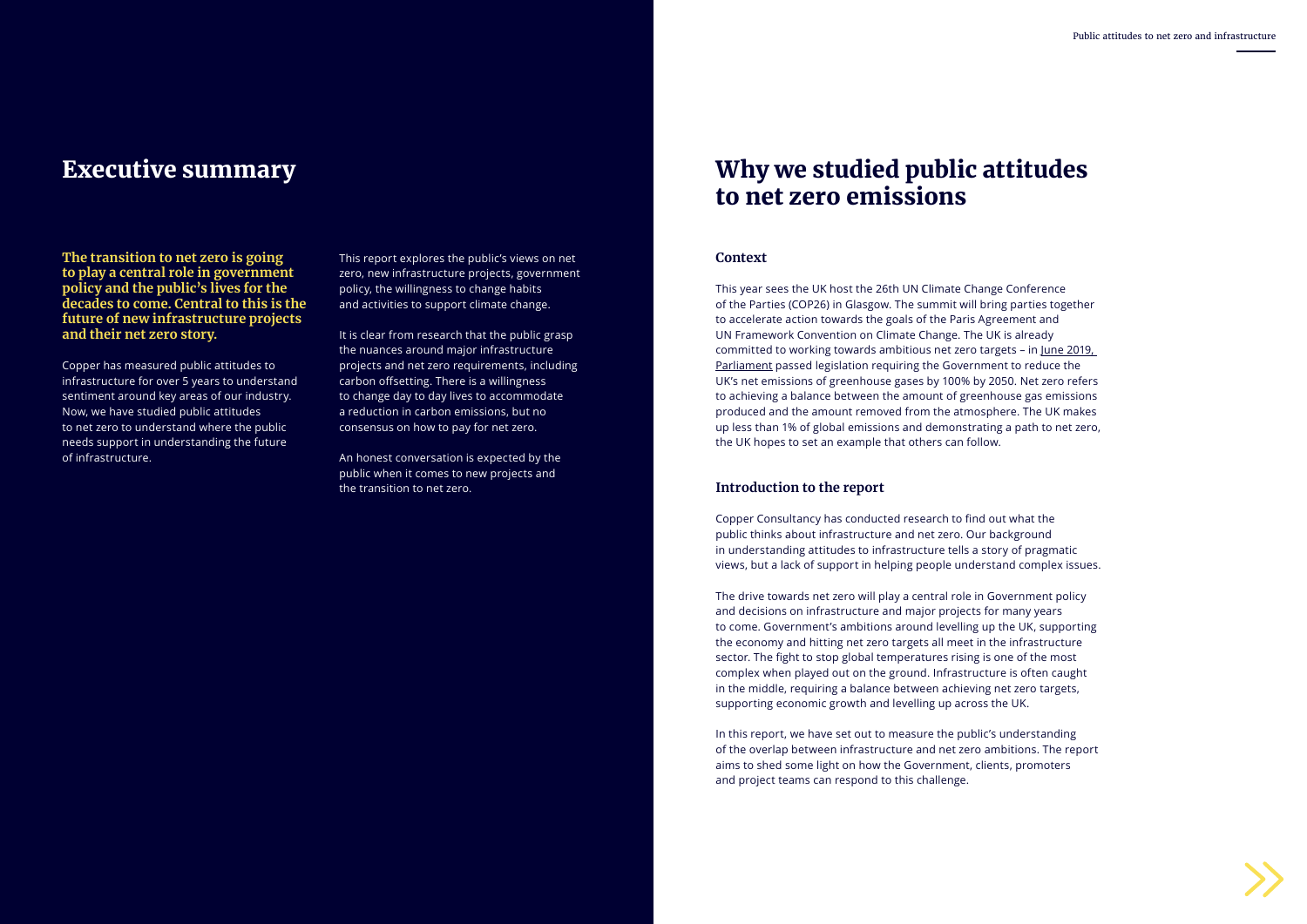

**The transition to net zero is going to play a central role in government policy and the public's lives for the decades to come. Central to this is the future of new infrastructure projects and their net zero story.**

Copper has measured public attitudes to infrastructure for over 5 years to understand sentiment around key areas of our industry. Now, we have studied public attitudes to net zero to understand where the public needs support in understanding the future of infrastructure.

This report explores the public's views on net zero, new infrastructure projects, government policy, the willingness to change habits and activities to support climate change.

It is clear from research that the public grasp the nuances around major infrastructure projects and net zero requirements, including carbon offsetting. There is a willingness to change day to day lives to accommodate a reduction in carbon emissions, but no consensus on how to pay for net zero.

An honest conversation is expected by the public when it comes to new projects and the transition to net zero.

### Executive summary

#### **Context**

This year sees the UK host the 26th UN Climate Change Conference of the Parties (COP26) in Glasgow. The summit will bring parties together to accelerate action towards the goals of the Paris Agreement and UN Framework Convention on Climate Change. The UK is already committed to working towards ambitious net zero targets – in [June 2019,](https://www.gov.uk/government/news/uk-becomes-first-major-economy-to-pass-net-zero-emissions-law)  [Parliament](https://www.gov.uk/government/news/uk-becomes-first-major-economy-to-pass-net-zero-emissions-law) passed legislation requiring the Government to reduce the UK's net emissions of greenhouse gases by 100% by 2050. Net zero refers to achieving a balance between the amount of greenhouse gas emissions produced and the amount removed from the atmosphere. The UK makes up less than 1% of global emissions and demonstrating a path to net zero, the UK hopes to set an example that others can follow.

#### **Introduction to the report**

Copper Consultancy has conducted research to find out what the public thinks about infrastructure and net zero. Our background in understanding attitudes to infrastructure tells a story of pragmatic views, but a lack of support in helping people understand complex issues.

The drive towards net zero will play a central role in Government policy and decisions on infrastructure and major projects for many years to come. Government's ambitions around levelling up the UK, supporting the economy and hitting net zero targets all meet in the infrastructure sector. The fight to stop global temperatures rising is one of the most complex when played out on the ground. Infrastructure is often caught in the middle, requiring a balance between achieving net zero targets, supporting economic growth and levelling up across the UK.

In this report, we have set out to measure the public's understanding of the overlap between infrastructure and net zero ambitions. The report aims to shed some light on how the Government, clients, promoters and project teams can respond to this challenge.

### Why we studied public attitudes to net zero emissions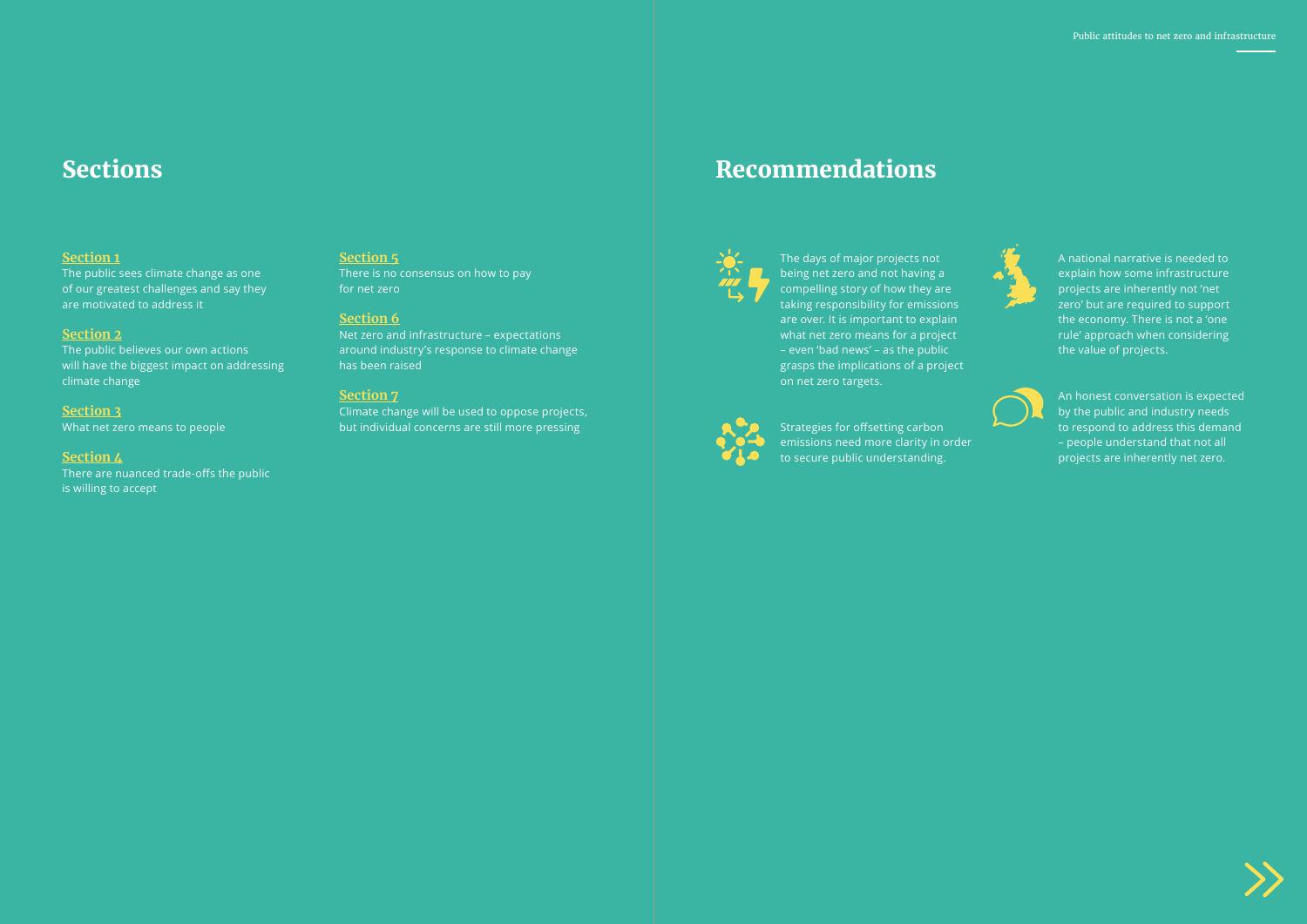

#### **Section 1**

The public sees climate change as one of our greatest challenges and say they are motivated to address it

#### **Section 2**

The public believes our own actions will have the biggest impact on addressing climate change

#### **Section 3**

What net zero means to people

#### **Section 4**

There are nuanced trade-offs the public is willing to accept

#### **Section 5**

There is no consensus on how to pay for net zero

#### **Section 6**

Net zero and infrastructure – expectations around industry's response to climate change has been raised

#### **Section 7**

Climate change will be used to oppose projects, but individual concerns are still more pressing

### Sections and the commendations of the commendations of the commendations of the commendations of the commendations of the commendations of the commendations of the commendations of the commendations of the commendations of



The days of major projects not being net zero and not having a compelling story of how they are taking responsibility for emissions are over. It is important to explain what net zero means for a project – even 'bad news' – as the public grasps the implications of a project on net zero targets.



A national narrative is needed to explain how some infrastructure projects are inherently not 'net zero' but are required to support the economy. There is not a 'one rule' approach when considering the value of projects.



An honest conversation is expected by the public and industry needs to respond to address this demand – people understand that not all projects are inherently net zero.



Strategies for offsetting carbon emissions need more clarity in order to secure public understanding.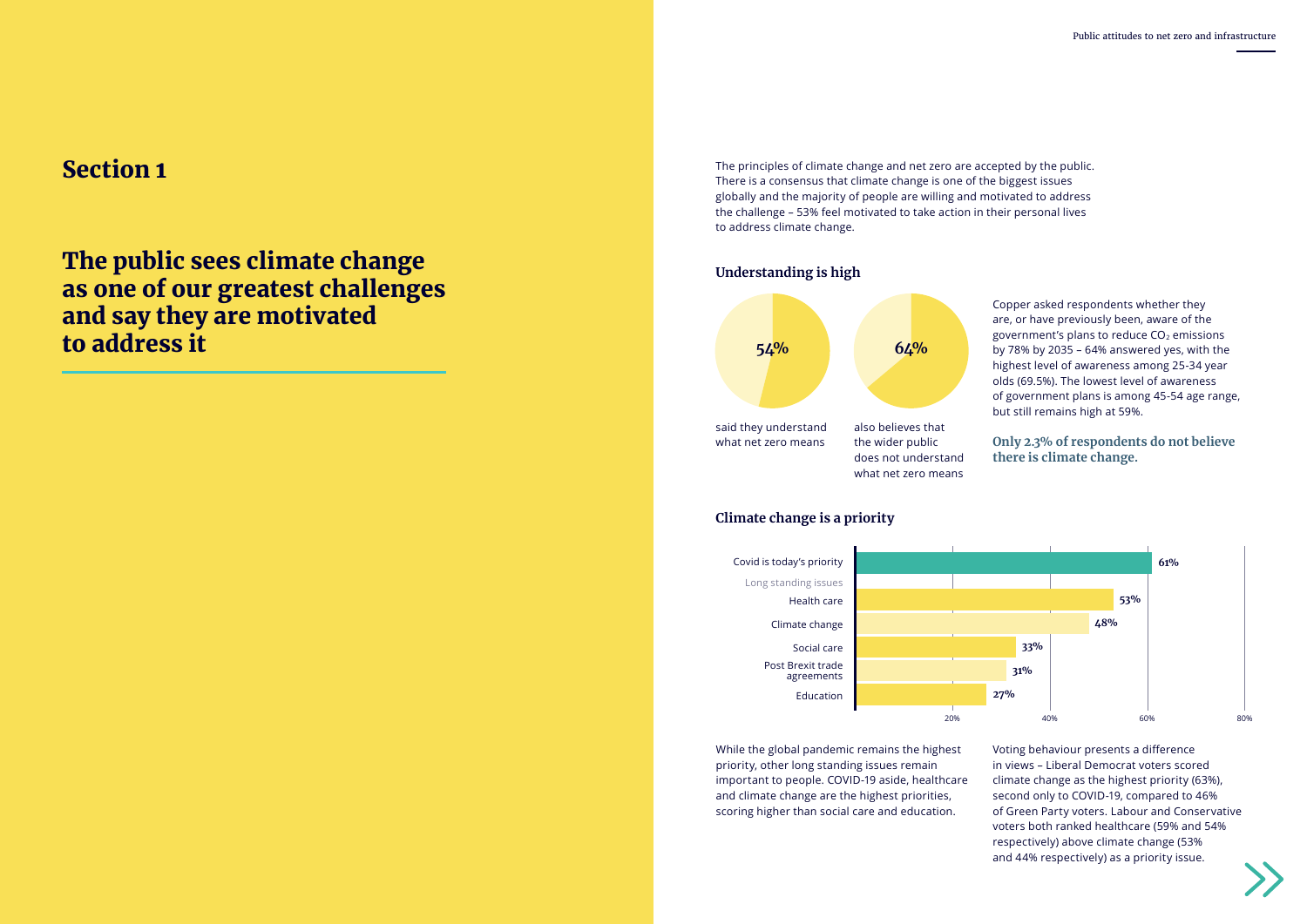The public sees climate change as one of our greatest challenges and say they are motivated to address it

### Section 1



The principles of climate change and net zero are accepted by the public. There is a consensus that climate change is one of the biggest issues globally and the majority of people are willing and motivated to address the challenge – 53% feel motivated to take action in their personal lives to address climate change.



Copper asked respondents whether they are, or have previously been, aware of the government's plans to reduce  $CO<sub>2</sub>$  emissions by 78% by 2035 – 64% answered yes, with the highest level of awareness among 25-34 year olds (69.5%). The lowest level of awareness of government plans is among 45-54 age range, but still remains high at 59%.

#### **Only 2.3% of respondents do not believe there is climate change.**

While the global pandemic remains the highest priority, other long standing issues remain important to people. COVID-19 aside, healthcare and climate change are the highest priorities, scoring higher than social care and education.

Voting behaviour presents a difference in views – Liberal Democrat voters scored climate change as the highest priority (63%), second only to COVID-19, compared to 46% of Green Party voters. Labour and Conservative voters both ranked healthcare (59% and 54% respectively) above climate change (53% and 44% respectively) as a priority issue.





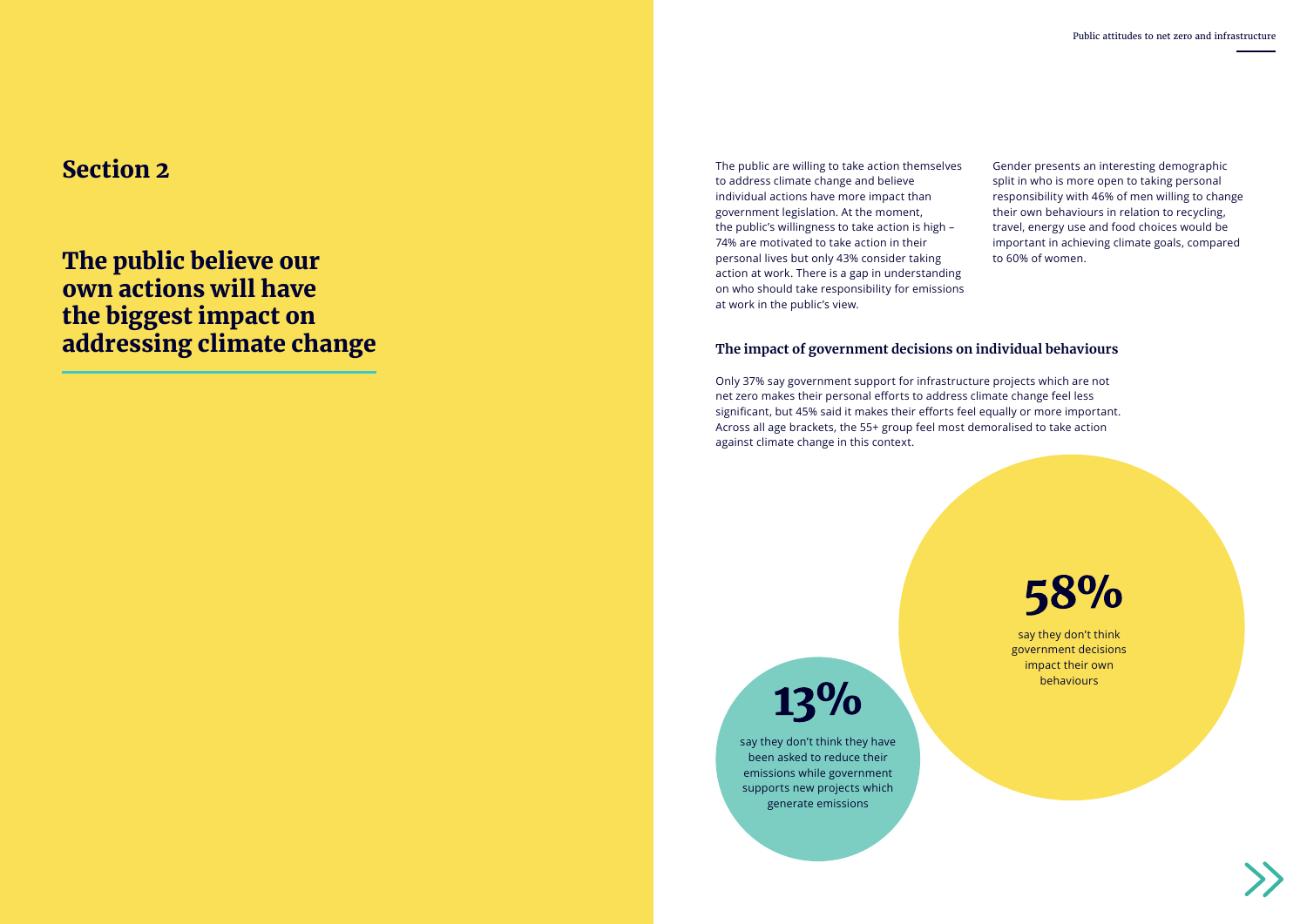The public believe our own actions will have the biggest impact on addressing climate change

Section 2 The public are willing to take action themselves to address climate change and believe individual actions have more impact than government legislation. At the moment, the public's willingness to take action is high – 74% are motivated to take action in their personal lives but only 43% consider taking action at work. There is a gap in understanding on who should take responsibility for emissions at work in the public's view.

Gender presents an interesting demographic split in who is more open to taking personal responsibility with 46% of men willing to change their own behaviours in relation to recycling, travel, energy use and food choices would be important in achieving climate goals, compared to 60% of women.



### **The impact of government decisions on individual behaviours**

Only 37% say government support for infrastructure projects which are not net zero makes their personal efforts to address climate change feel less significant, but 45% said it makes their efforts feel equally or more important. Across all age brackets, the 55+ group feel most demoralised to take action against climate change in this context.

13%

say they don't think government decisions impact their own behaviours



say they don't think they have been asked to reduce their emissions while government supports new projects which generate emissions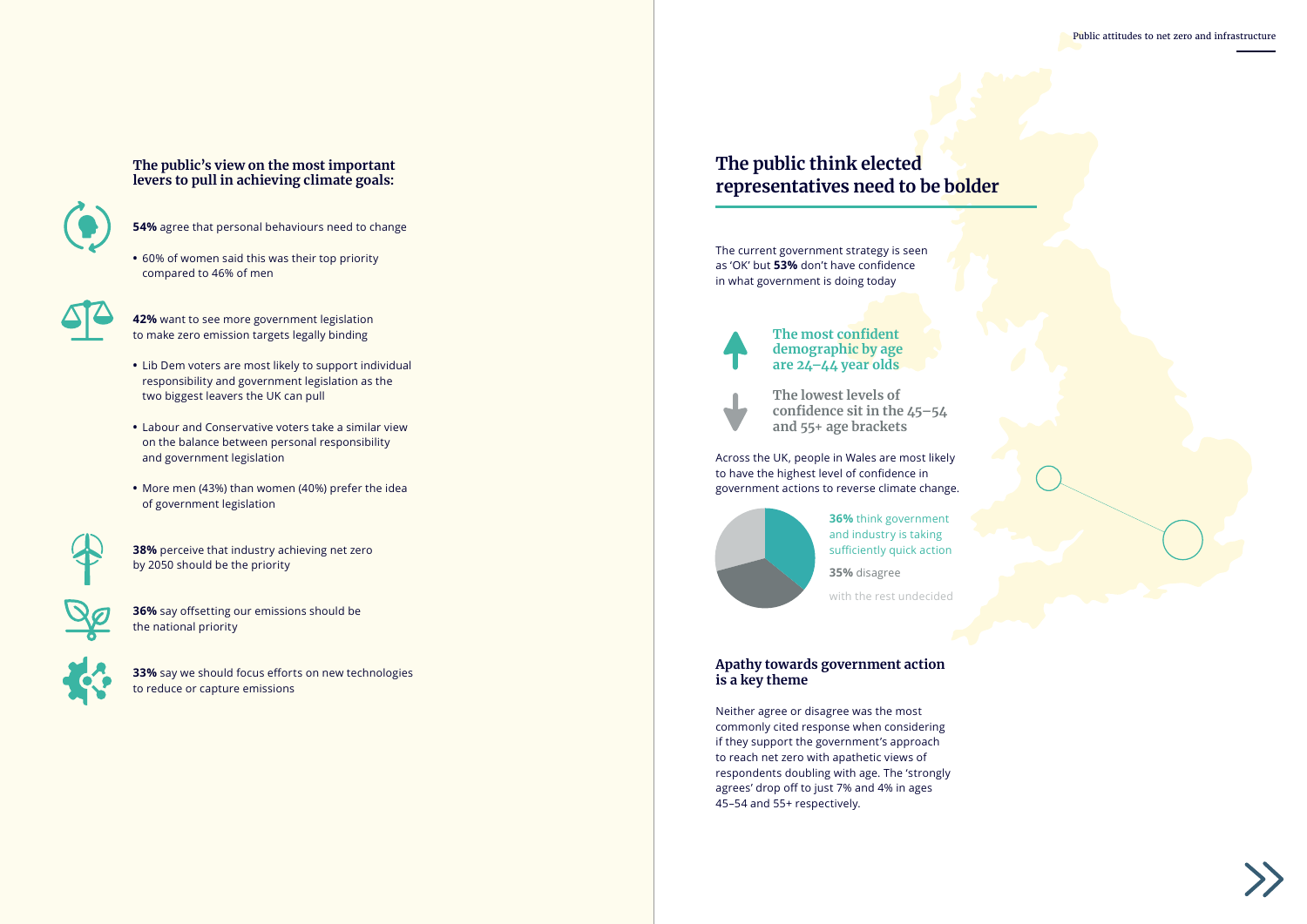Public attitudes to net zero and infrastructure





**36%** think government and industry is taking sufficiently quick action

**35%** disagree

with the rest undecided

### **The public think elected representatives need to be bolder**

**54%** agree that personal behaviours need to change

**•** 60% of women said this was their top priority compared to 46% of men



- **42%** want to see more government legislation to make zero emission targets legally binding
- **•** Lib Dem voters are most likely to support individual responsibility and government legislation as the two biggest leavers the UK can pull
- **•** Labour and Conservative voters take a similar view on the balance between personal responsibility and government legislation
- **•** More men (43%) than women (40%) prefer the idea of government legislation



**38%** perceive that industry achieving net zero by 2050 should be the priority



**36%** say offsetting our emissions should be the national priority



**33%** say we should focus efforts on new technologies to reduce or capture emissions

#### **The public's view on the most important levers to pull in achieving climate goals:**



The current government strategy is seen as 'OK' but **53%** don't have confidence in what government is doing today



Across the UK, people in Wales are most likely to have the highest level of confidence in government actions to reverse climate change.



**The lowest levels of confidence sit in the 45–54 and 55+ age brackets**

**The most confident demographic by age are 24–44 year olds**



#### **Apathy towards government action is a key theme**

Neither agree or disagree was the most commonly cited response when considering if they support the government's approach to reach net zero with apathetic views of respondents doubling with age. The 'strongly agrees' drop off to just 7% and 4% in ages 45–54 and 55+ respectively.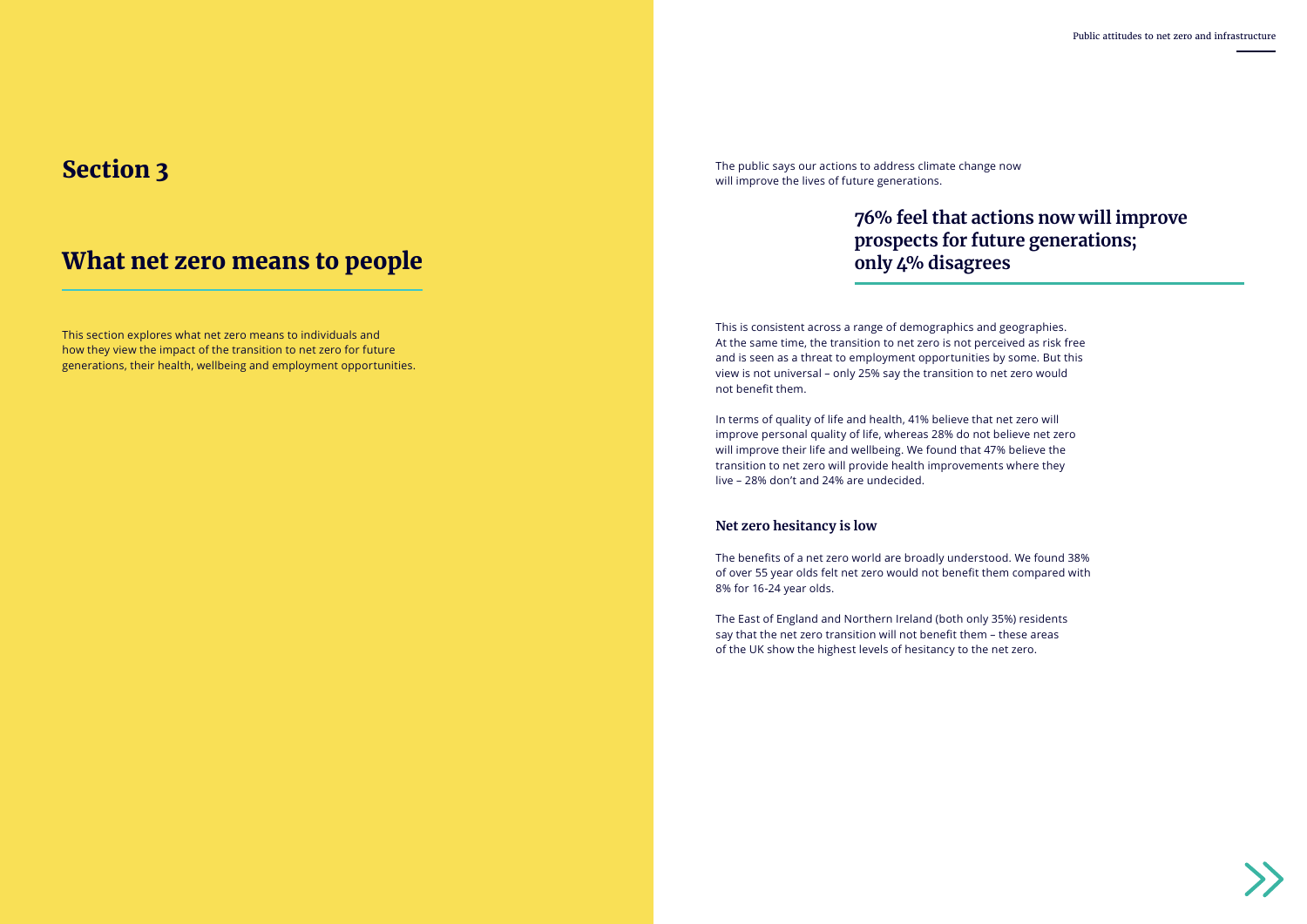### What net zero means to people

### Section 3

# **76% feel that actions now will improve prospects for future generations;**



# **only 4% disagrees**

This is consistent across a range of demographics and geographies. At the same time, the transition to net zero is not perceived as risk free and is seen as a threat to employment opportunities by some. But this view is not universal – only 25% say the transition to net zero would not benefit them.

In terms of quality of life and health, 41% believe that net zero will improve personal quality of life, whereas 28% do not believe net zero will improve their life and wellbeing. We found that 47% believe the transition to net zero will provide health improvements where they live – 28% don't and 24% are undecided.

#### **Net zero hesitancy is low**

The benefits of a net zero world are broadly understood. We found 38% of over 55 year olds felt net zero would not benefit them compared with 8% for 16-24 year olds.

The East of England and Northern Ireland (both only 35%) residents say that the net zero transition will not benefit them – these areas of the UK show the highest levels of hesitancy to the net zero.

The public says our actions to address climate change now will improve the lives of future generations.

This section explores what net zero means to individuals and how they view the impact of the transition to net zero for future generations, their health, wellbeing and employment opportunities.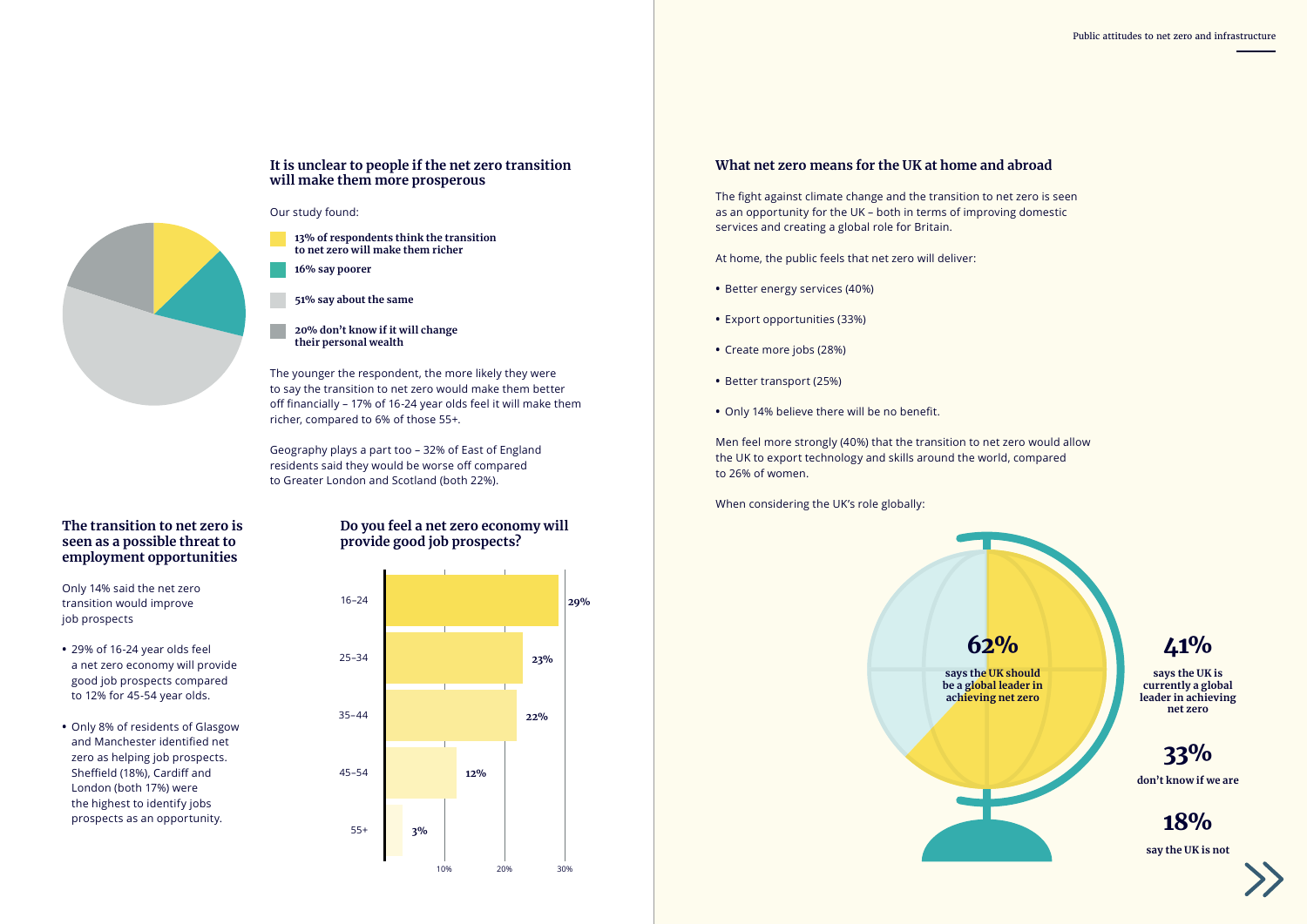### **What net zero means for the UK at home and abroad**

The fight against climate change and the transition to net zero is seen as an opportunity for the UK – both in terms of improving domestic services and creating a global role for Britain.

At home, the public feels that net zero will deliver:

- **•** Better energy services (40%)
- **•** Export opportunities (33%)
- **•** Create more jobs (28%)
- **•** Better transport (25%)
- **•** Only 14% believe there will be no benefit.

Men feel more strongly (40%) that the transition to net zero would allow the UK to export technology and skills around the world, compared to 26% of women.

When considering the UK's role globally:

#### **It is unclear to people if the net zero transition will make them more prosperous**

The younger the respondent, the more likely they were to say the transition to net zero would make them better off financially – 17% of 16-24 year olds feel it will make them richer, compared to 6% of those 55+.

Geography plays a part too – 32% of East of England residents said they would be worse off compared to Greater London and Scotland (both 22%).

Our study found:

**13% of respondents think the transition to net zero will make them richer**

**16% say poorer**

**51% say about the same**

**20% don't know if it will change their personal wealth**

### **The transition to net zero is seen as a possible threat to employment opportunities**

Only 14% said the net zero transition would improve job prospects



- **•** 29% of 16-24 year olds feel a net zero economy will provide good job prospects compared to 12% for 45-54 year olds.
- **•** Only 8% of residents of Glasgow and Manchester identified net zero as helping job prospects. Sheffield (18%), Cardiff and London (both 17%) were the highest to identify jobs prospects as an opportunity.

### **Do you feel a net zero economy will provide good job prospects?**



**says the UK is currently a global leader in achieving net zero**



**don't know if we are**

### 33%

**say the UK is not**



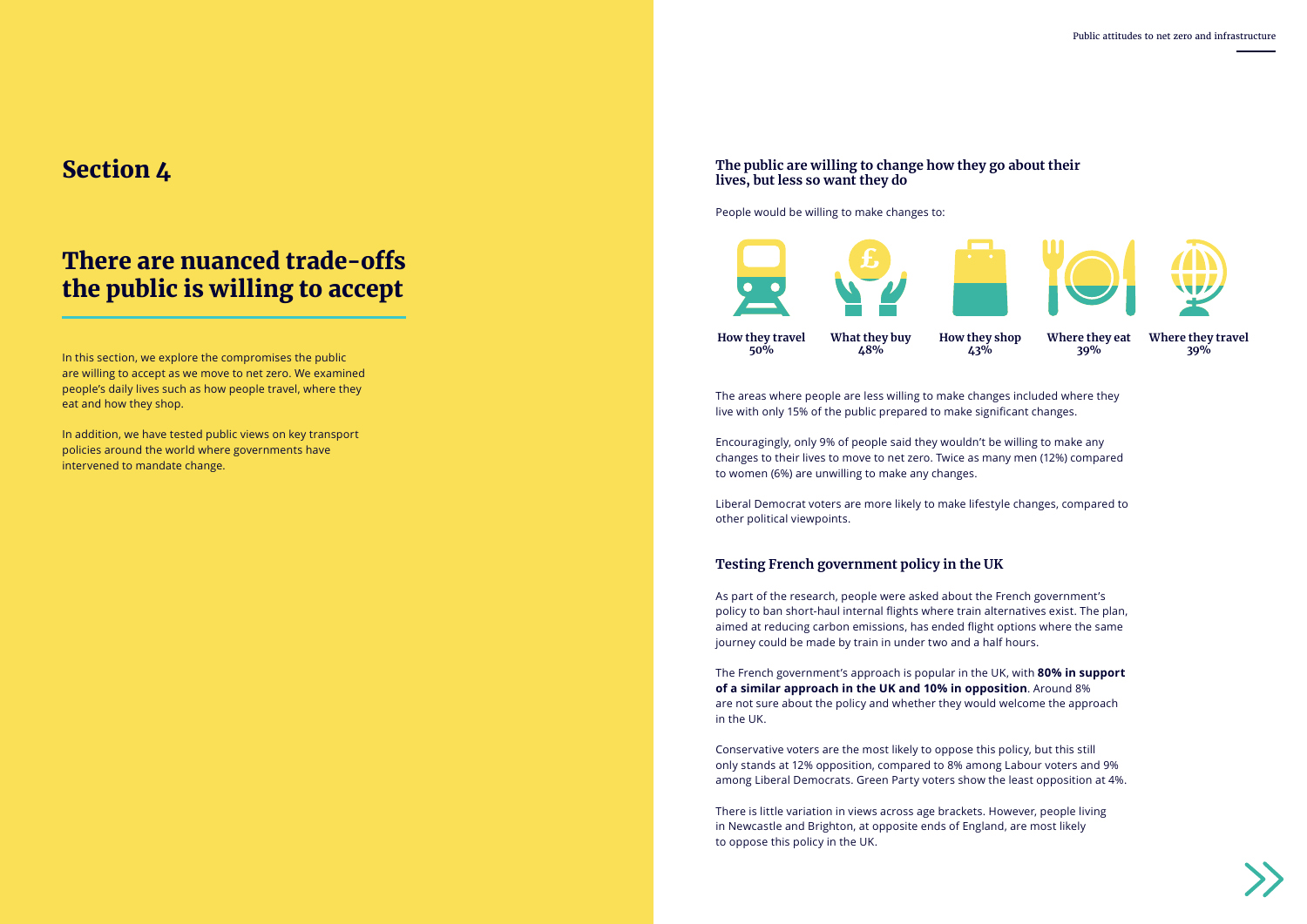

### There are nuanced trade-offs the public is willing to accept

### Section 4

In this section, we explore the compromises the public are willing to accept as we move to net zero. We examined people's daily lives such as how people travel, where they eat and how they shop.

In addition, we have tested public views on key transport policies around the world where governments have intervened to mandate change.

The areas where people are less willing to make changes included where they live with only 15% of the public prepared to make significant changes.

Encouragingly, only 9% of people said they wouldn't be willing to make any changes to their lives to move to net zero. Twice as many men (12%) compared to women (6%) are unwilling to make any changes.

Liberal Democrat voters are more likely to make lifestyle changes, compared to other political viewpoints.

### **Testing French government policy in the UK**

As part of the research, people were asked about the French government's policy to ban short-haul internal flights where train alternatives exist. The plan, aimed at reducing carbon emissions, has ended flight options where the same journey could be made by train in under two and a half hours.

The French government's approach is popular in the UK, with **80% in support of a similar approach in the UK and 10% in opposition**. Around 8% are not sure about the policy and whether they would welcome the approach in the UK.

Conservative voters are the most likely to oppose this policy, but this still only stands at 12% opposition, compared to 8% among Labour voters and 9% among Liberal Democrats. Green Party voters show the least opposition at 4%.

There is little variation in views across age brackets. However, people living in Newcastle and Brighton, at opposite ends of England, are most likely to oppose this policy in the UK.

#### **The public are willing to change how they go about their lives, but less so want they do**

People would be willing to make changes to:



**How they travel 50%**

**How they shop 43%**

**What they buy 48%**

**Where they travel 39%**





**Where they eat 39%** 



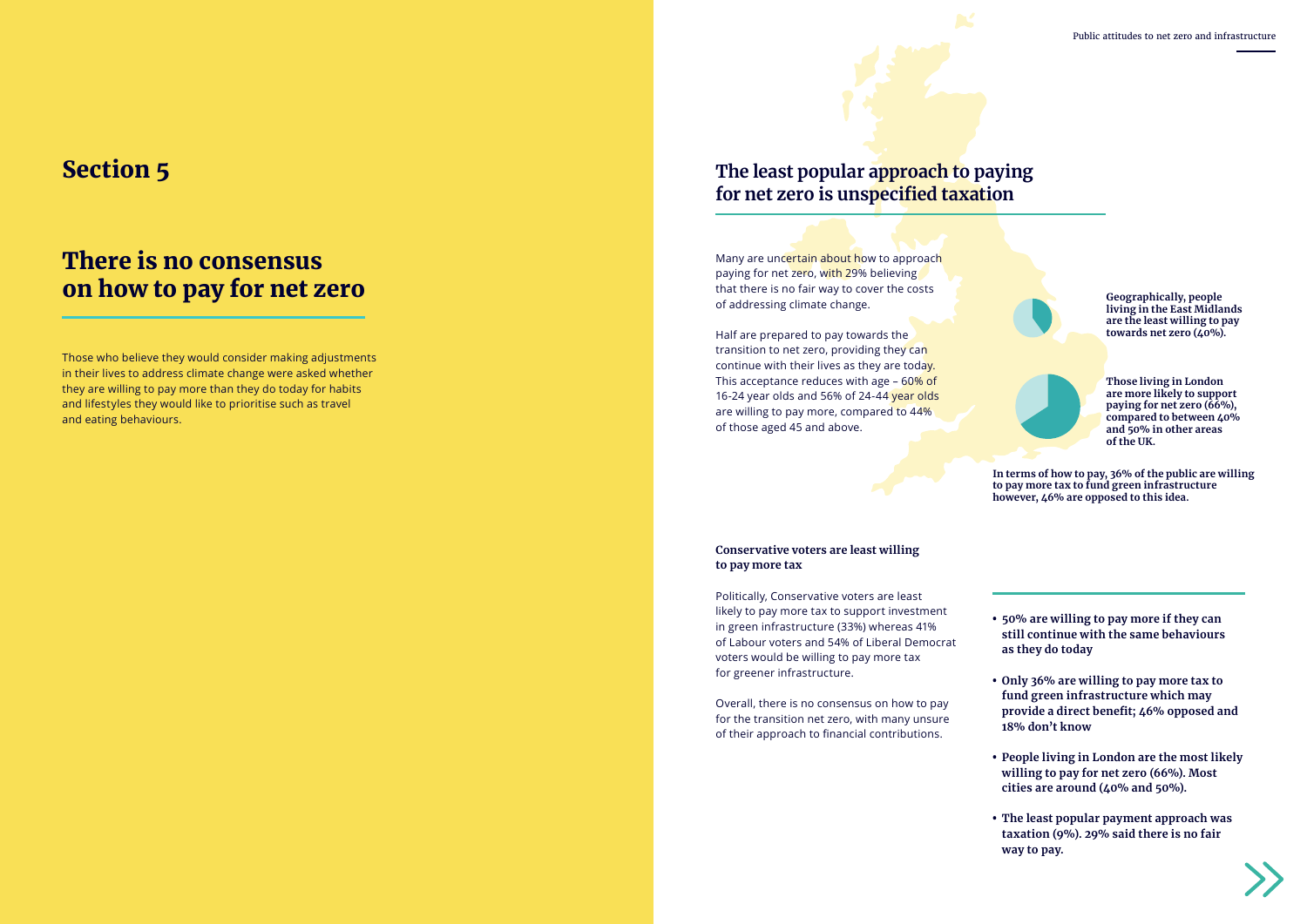### There is no consensus on how to pay for net zero

### Section 5

Many are uncertain about how to approach paying for net zero, with 29% believing that there is no fair way to cover the costs of addressing climate change.

Half are prepared to pay towards the transition to net zero, providing they can continue with their lives as they are today. This acceptance reduces with age – 60% of 16-24 year olds and 56% of 24-44 year olds are willing to pay more, compared to 44% of those aged 45 and above.

Politically, Conservative voters are least likely to pay more tax to support investment in green infrastructure (33%) whereas 41% of Labour voters and 54% of Liberal Democrat voters would be willing to pay more tax for greener infrastructure.

Overall, there is no consensus on how to pay for the transition net zero, with many unsure of their approach to financial contributions.

- **• 50% are willing to pay more if they can still continue with the same behaviours as they do today**
- **• Only 36% are willing to pay more tax to fund green infrastructure which may provide a direct benefit; 46% opposed and 18% don't know**
- **• People living in London are the most likely willing to pay for net zero (66%). Most cities are around (40% and 50%).**
- **• The least popular payment approach was taxation (9%). 29% said there is no fair way to pay.**





**In terms of how to pay, 36% of the public are willing to pay more tax to fund green infrastructure however, 46% are opposed to this idea.**

Those who believe they would consider making adjustments in their lives to address climate change were asked whether they are willing to pay more than they do today for habits and lifestyles they would like to prioritise such as travel and eating behaviours.

#### **Conservative voters are least willing to pay more tax**

### **The least popular approach to paying for net zero is unspecified taxation**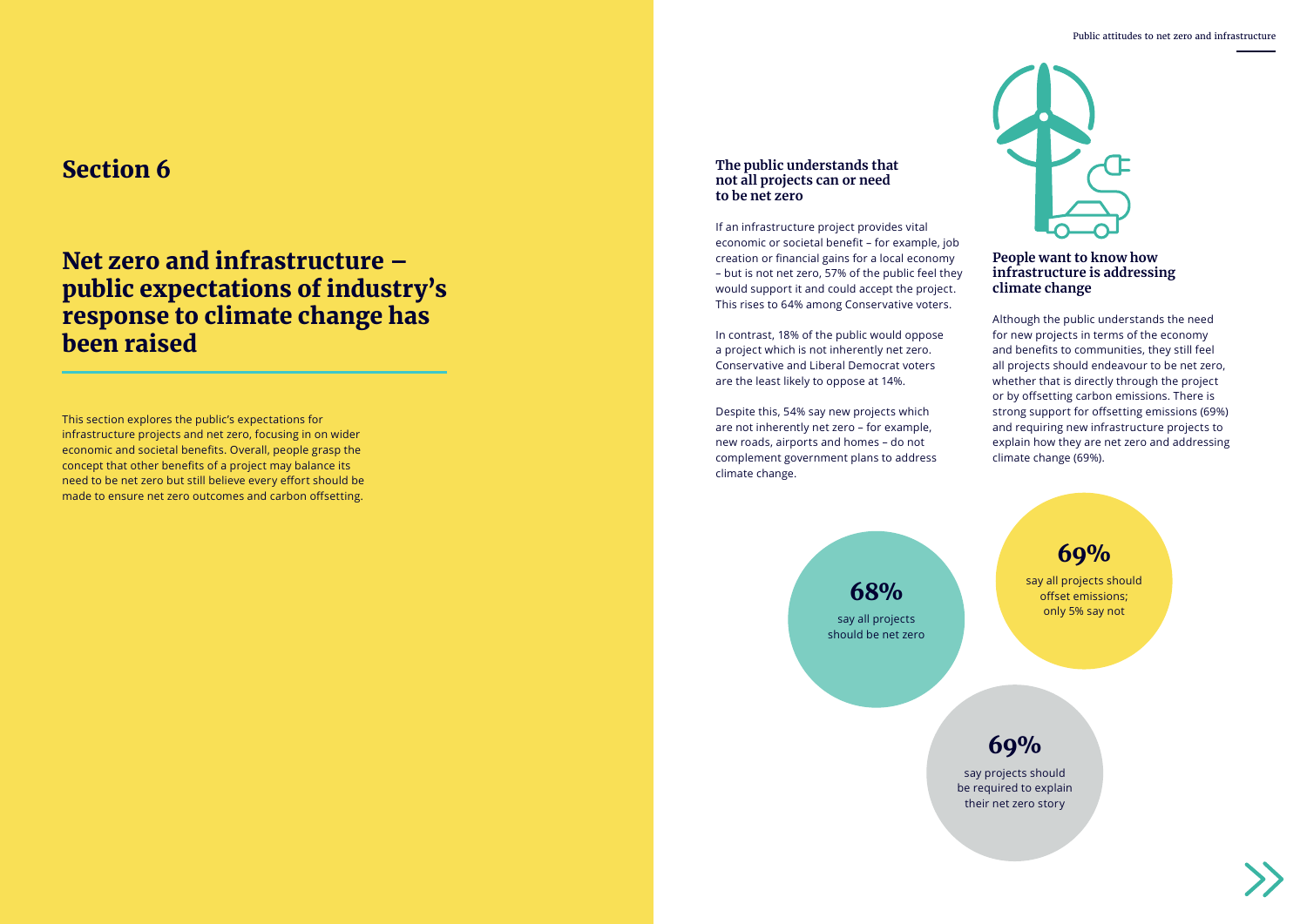

say all projects should offset emissions; only 5% say not

say projects should be required to explain their net zero story



say all projects should be net zero

#### **Section 6 The public understands that The public understands that The public understands that not all projects can or need to be net zero**

### 69%

69%

### 68%

### Net zero and infrastructure – public expectations of industry's response to climate change has been raised

If an infrastructure project provides vital economic or societal benefit – for example, job creation or financial gains for a local economy – but is not net zero, 57% of the public feel they would support it and could accept the project. This rises to 64% among Conservative voters.

In contrast, 18% of the public would oppose a project which is not inherently net zero. Conservative and Liberal Democrat voters are the least likely to oppose at 14%.

Despite this, 54% say new projects which are not inherently net zero – for example, new roads, airports and homes – do not complement government plans to address climate change.

### **People want to know how infrastructure is addressing climate change**

Although the public understands the need for new projects in terms of the economy and benefits to communities, they still feel all projects should endeavour to be net zero, whether that is directly through the project or by offsetting carbon emissions. There is strong support for offsetting emissions (69%) and requiring new infrastructure projects to explain how they are net zero and addressing climate change (69%).

This section explores the public's expectations for infrastructure projects and net zero, focusing in on wider economic and societal benefits. Overall, people grasp the concept that other benefits of a project may balance its need to be net zero but still believe every effort should be made to ensure net zero outcomes and carbon offsetting.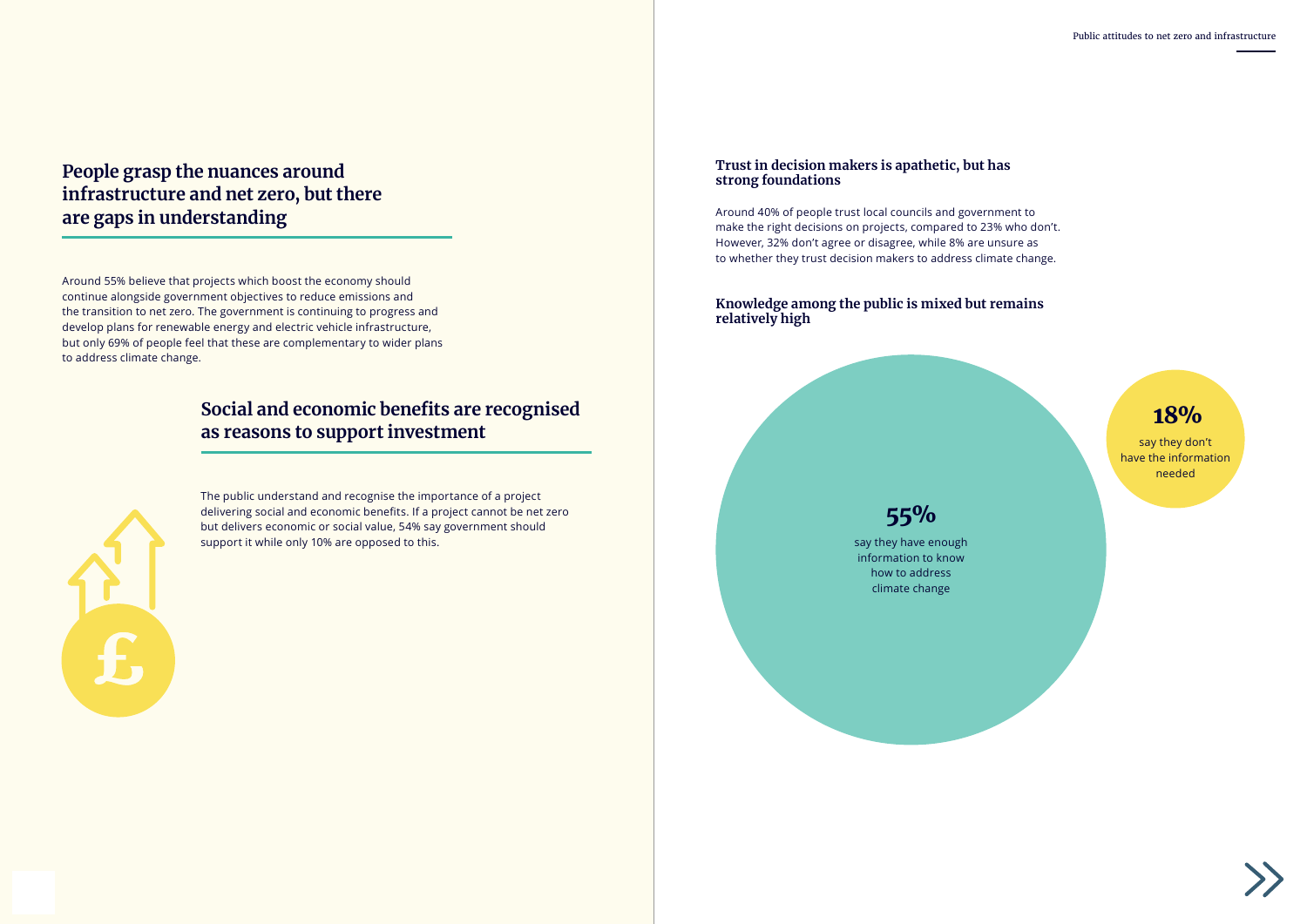

Around 55% believe that projects which boost the economy should continue alongside government objectives to reduce emissions and the transition to net zero. The government is continuing to progress and develop plans for renewable energy and electric vehicle infrastructure, but only 69% of people feel that these are complementary to wider plans to address climate change.

> The public understand and recognise the importance of a project delivering social and economic benefits. If a project cannot be net zero but delivers economic or social value, 54% say government should support it while only 10% are opposed to this.

#### **Trust in decision makers is apathetic, but has strong foundations**

Around 40% of people trust local councils and government to make the right decisions on projects, compared to 23% who don't. However, 32% don't agree or disagree, while 8% are unsure as to whether they trust decision makers to address climate change.

#### **Knowledge among the public is mixed but remains relatively high**

say they have enough information to know how to address climate change

say they don't have the information needed

# 55%



### **People grasp the nuances around infrastructure and net zero, but there are gaps in understanding**

### **Social and economic benefits are recognised as reasons to support investment**

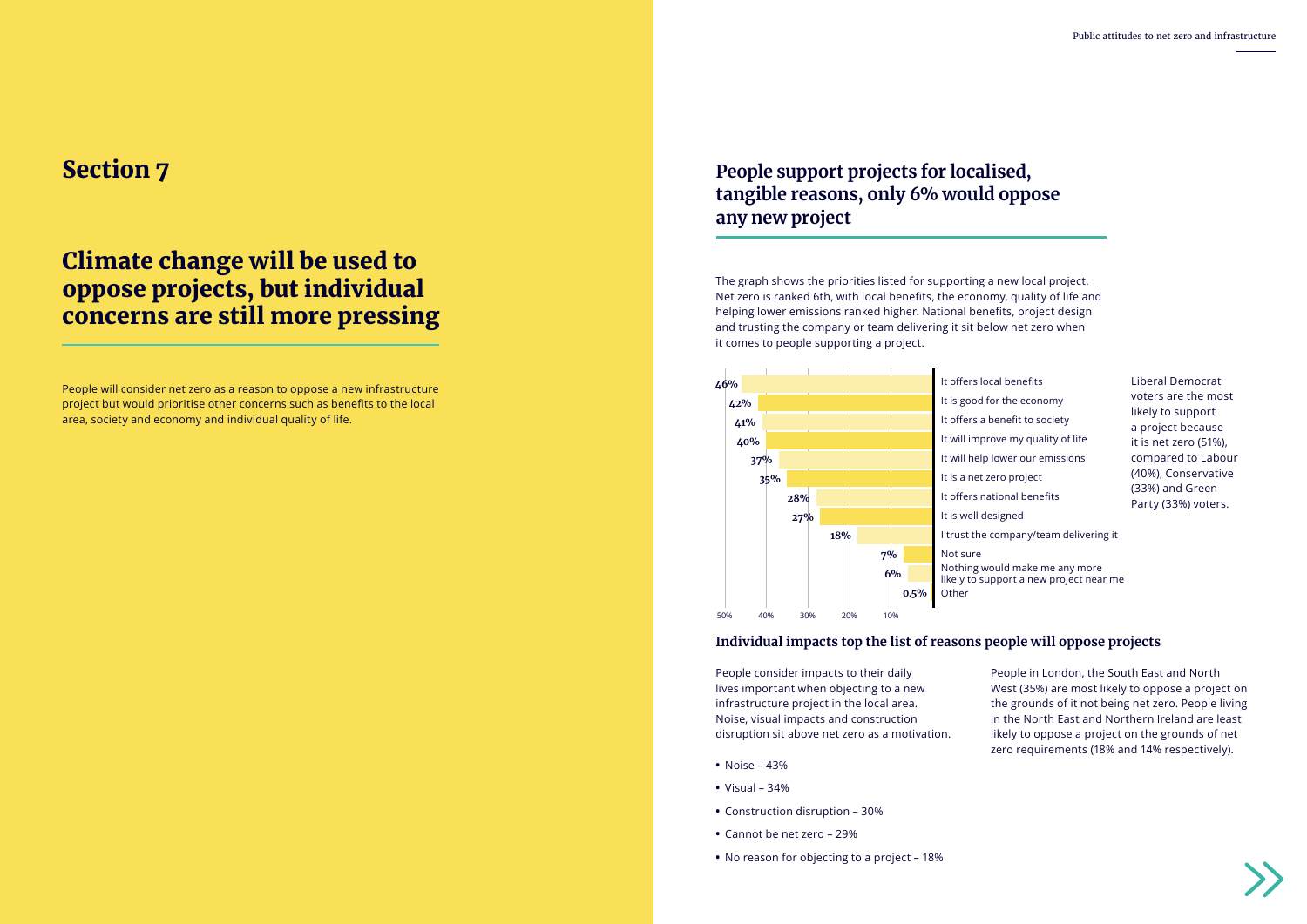### Climate change will be used to oppose projects, but individual concerns are still more pressing

### Section 7

The graph shows the priorities listed for supporting a new local project. Net zero is ranked 6th, with local benefits, the economy, quality of life and helping lower emissions ranked higher. National benefits, project design and trusting the company or team delivering it sit below net zero when it comes to people supporting a project.

- It is good for the economy It offers a benefit to society
- It will improve my quality of life
	-
	-
- It offers national benefits
	-
- I trust the company/team delivering it

Nothing would make me any more likely to support a new project near me

Liberal Democrat voters are the most likely to support a project because it is net zero (51%), compared to Labour (40%), Conservative (33%) and Green Party (33%) voters.

People consider impacts to their daily lives important when objecting to a new infrastructure project in the local area. Noise, visual impacts and construction disruption sit above net zero as a motivation.



- **•** Noise 43%
- **•** Visual 34%
- **•** Construction disruption 30%
- **•** Cannot be net zero 29%
- **•** No reason for objecting to a project 18%

People in London, the South East and North West (35%) are most likely to oppose a project on the grounds of it not being net zero. People living in the North East and Northern Ireland are least likely to oppose a project on the grounds of net zero requirements (18% and 14% respectively).



People will consider net zero as a reason to oppose a new infrastructure project but would prioritise other concerns such as benefits to the local area, society and economy and individual quality of life.

### **Individual impacts top the list of reasons people will oppose projects**

### **People support projects for localised, tangible reasons, only 6% would oppose any new project**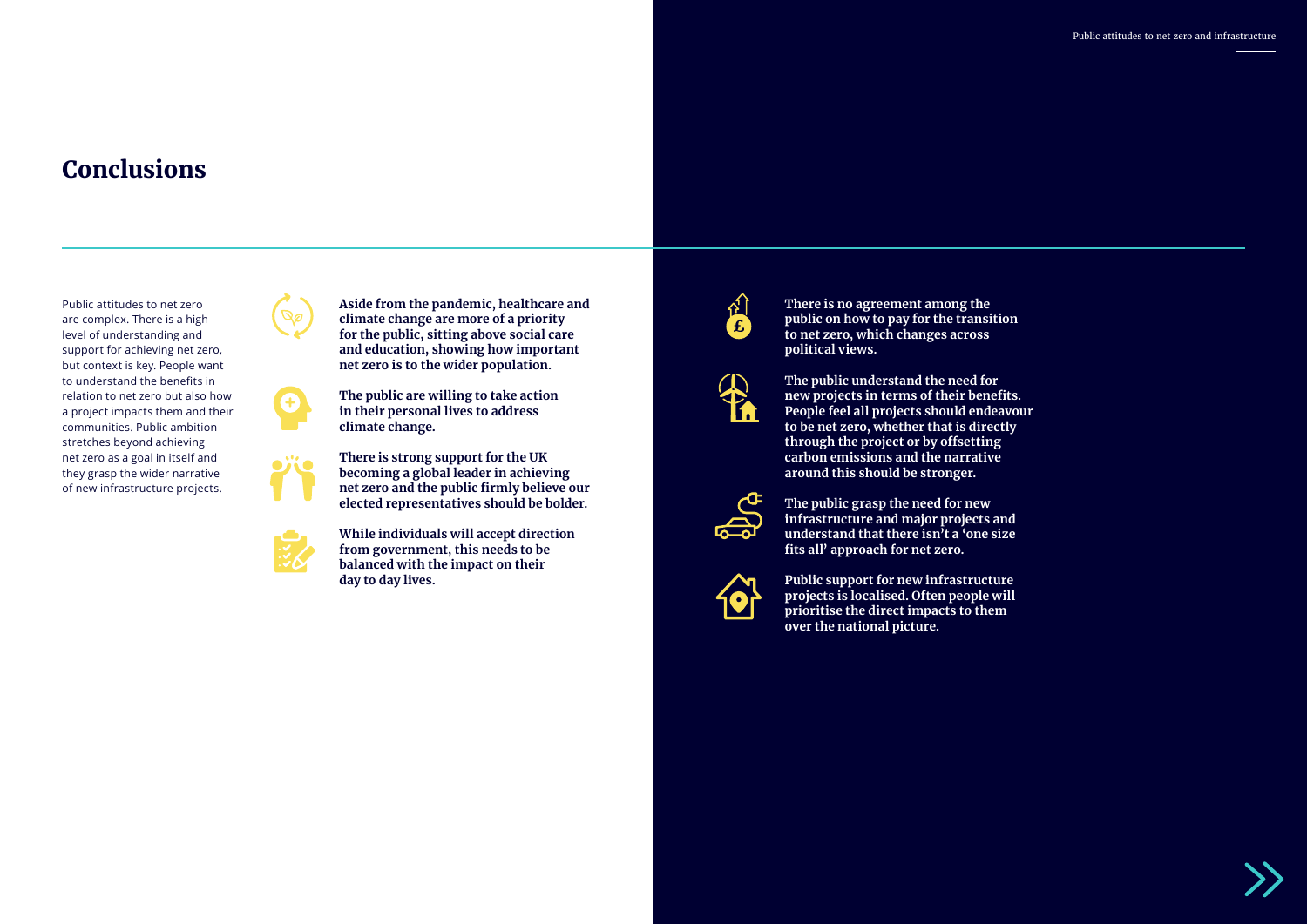# Conclusions

**Aside from the pandemic, healthcare and climate change are more of a priority for the public, sitting above social care and education, showing how important net zero is to the wider population.** 



**The public are willing to take action in their personal lives to address climate change.** 

**There is strong support for the UK becoming a global leader in achieving net zero and the public firmly believe our elected representatives should be bolder.** 

**While individuals will accept direction from government, this needs to be balanced with the impact on their day to day lives.**



**There is no agreement among the public on how to pay for the transition to net zero, which changes across political views.** 



**The public understand the need for new projects in terms of their benefits. People feel all projects should endeavour to be net zero, whether that is directly through the project or by offsetting carbon emissions and the narrative around this should be stronger.** 



**The public grasp the need for new infrastructure and major projects and understand that there isn't a 'one size fits all' approach for net zero.**



**Public support for new infrastructure projects is localised. Often people will prioritise the direct impacts to them over the national picture.**



Public attitudes to net zero are complex. There is a high level of understanding and support for achieving net zero, but context is key. People want to understand the benefits in relation to net zero but also how a project impacts them and their communities. Public ambition stretches beyond achieving net zero as a goal in itself and they grasp the wider narrative of new infrastructure projects.